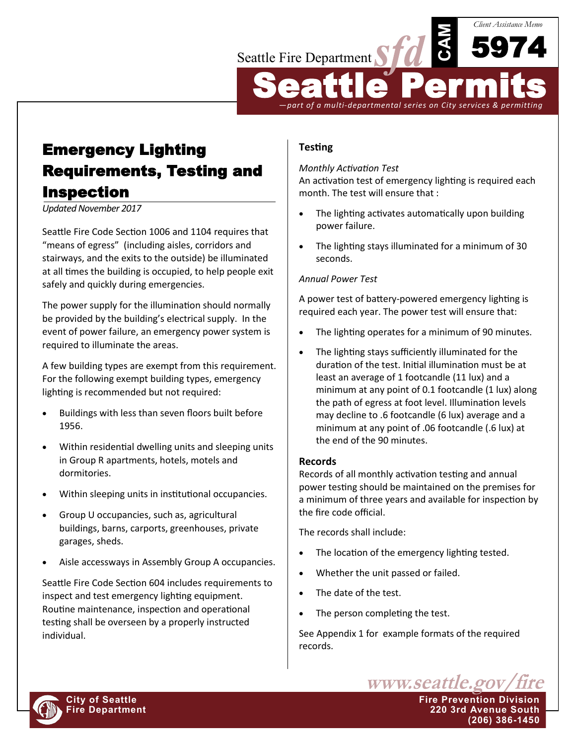

Emergency Lighting Requirements, Testing and Inspection

*Updated November 2017*

Seattle Fire Code Section 1006 and 1104 requires that "means of egress" (including aisles, corridors and stairways, and the exits to the outside) be illuminated at all times the building is occupied, to help people exit safely and quickly during emergencies.

The power supply for the illumination should normally be provided by the building's electrical supply. In the event of power failure, an emergency power system is required to illuminate the areas.

A few building types are exempt from this requirement. For the following exempt building types, emergency lighting is recommended but not required:

- Buildings with less than seven floors built before 1956.
- Within residential dwelling units and sleeping units in Group R apartments, hotels, motels and dormitories.
- Within sleeping units in institutional occupancies.
- Group U occupancies, such as, agricultural buildings, barns, carports, greenhouses, private garages, sheds.
- Aisle accessways in Assembly Group A occupancies.

Seattle Fire Code Section 604 includes requirements to inspect and test emergency lighting equipment. Routine maintenance, inspection and operational testing shall be overseen by a properly instructed individual.

# **Testing**

### *Monthly Activation Test*

An activation test of emergency lighting is required each month. The test will ensure that :

- The lighting activates automatically upon building power failure.
- The lighting stays illuminated for a minimum of 30 seconds.

### *Annual Power Test*

A power test of battery-powered emergency lighting is required each year. The power test will ensure that:

- The lighting operates for a minimum of 90 minutes.
- The lighting stays sufficiently illuminated for the duration of the test. Initial illumination must be at least an average of 1 footcandle (11 lux) and a minimum at any point of 0.1 footcandle (1 lux) along the path of egress at foot level. Illumination levels may decline to .6 footcandle (6 lux) average and a minimum at any point of .06 footcandle (.6 lux) at the end of the 90 minutes.

#### **Records**

Records of all monthly activation testing and annual power testing should be maintained on the premises for a minimum of three years and available for inspection by the fire code official.

The records shall include:

- The location of the emergency lighting tested.
- Whether the unit passed or failed.
- The date of the test.
- The person completing the test.

See Appendix 1 for example formats of the required records.



**City of Seattle Fire Prevention Division Fire Department 220 3rd Avenue South (206) 386-1450**

www.seattle.gov/fire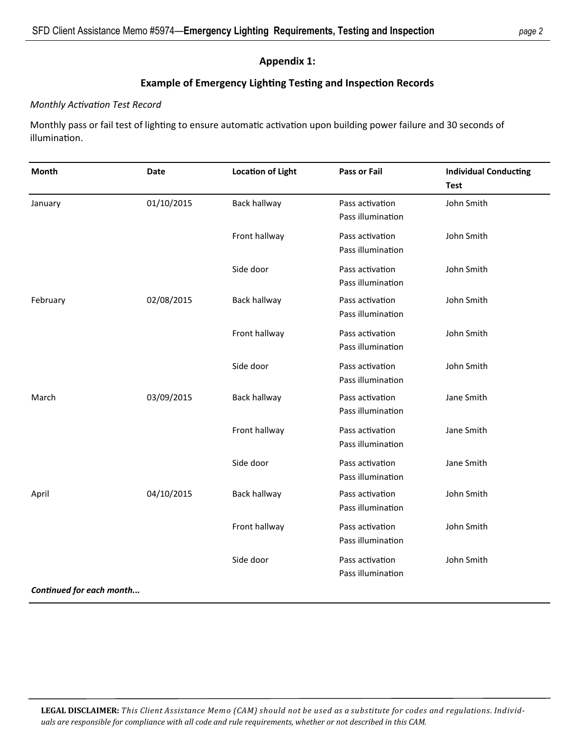### **Appendix 1:**

# **Example of Emergency Lighting Testing and Inspection Records**

### *Monthly Activation Test Record*

Monthly pass or fail test of lighting to ensure automatic activation upon building power failure and 30 seconds of illumination.

| Month                    | Date       | <b>Location of Light</b> | <b>Pass or Fail</b>                  | <b>Individual Conducting</b><br><b>Test</b> |
|--------------------------|------------|--------------------------|--------------------------------------|---------------------------------------------|
| January                  | 01/10/2015 | <b>Back hallway</b>      | Pass activation<br>Pass illumination | John Smith                                  |
|                          |            | Front hallway            | Pass activation<br>Pass illumination | John Smith                                  |
|                          |            | Side door                | Pass activation<br>Pass illumination | John Smith                                  |
| February                 | 02/08/2015 | <b>Back hallway</b>      | Pass activation<br>Pass illumination | John Smith                                  |
|                          |            | Front hallway            | Pass activation<br>Pass illumination | John Smith                                  |
|                          |            | Side door                | Pass activation<br>Pass illumination | John Smith                                  |
| March                    | 03/09/2015 | <b>Back hallway</b>      | Pass activation<br>Pass illumination | Jane Smith                                  |
|                          |            | Front hallway            | Pass activation<br>Pass illumination | Jane Smith                                  |
|                          |            | Side door                | Pass activation<br>Pass illumination | Jane Smith                                  |
| April                    | 04/10/2015 | Back hallway             | Pass activation<br>Pass illumination | John Smith                                  |
|                          |            | Front hallway            | Pass activation<br>Pass illumination | John Smith                                  |
|                          |            | Side door                | Pass activation<br>Pass illumination | John Smith                                  |
| Continued for each month |            |                          |                                      |                                             |